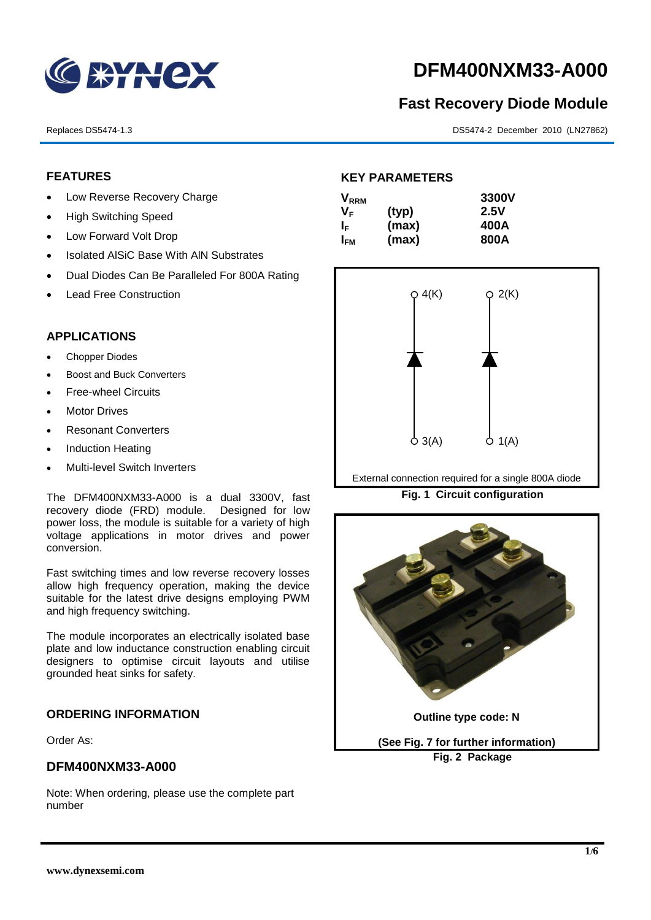

# **DFM400NXM33-A000**

# **Fast Recovery Diode Module**

Replaces DS5474-1.3 DS5474-2 December 2010 (LN27862)

# **FEATURES**

- Low Reverse Recovery Charge
- High Switching Speed
- Low Forward Volt Drop
- Isolated AISiC Base With AIN Substrates
- Dual Diodes Can Be Paralleled For 800A Rating
- Lead Free Construction

# **APPLICATIONS**

- Chopper Diodes
- Boost and Buck Converters
- Free-wheel Circuits
- Motor Drives
- Resonant Converters
- Induction Heating
- Multi-level Switch Inverters

The DFM400NXM33-A000 is a dual 3300V, fast recovery diode (FRD) module. Designed for low power loss, the module is suitable for a variety of high voltage applications in motor drives and power conversion.

Fast switching times and low reverse recovery losses allow high frequency operation, making the device suitable for the latest drive designs employing PWM and high frequency switching.

The module incorporates an electrically isolated base plate and low inductance construction enabling circuit designers to optimise circuit layouts and utilise grounded heat sinks for safety.

### **ORDERING INFORMATION**

Order As:

### **DFM400NXM33-A000**

Note: When ordering, please use the complete part number

# **KEY PARAMETERS**

| $\mathsf{V}_{\mathsf{RRM}}$ |       | 3300V |
|-----------------------------|-------|-------|
| Vғ                          | (typ) | 2.5V  |
| ΙF                          | (max) | 400A  |
| I <sub>FМ</sub>             | (max) | 800A  |



External connection required for a single 800A diode

**Fig. 1 Circuit configuration**

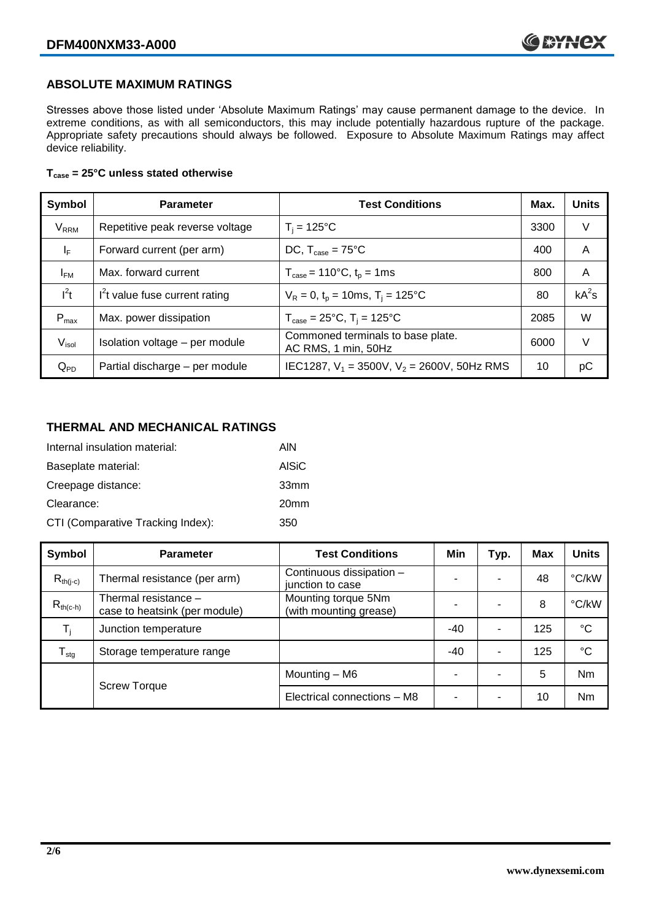### **ABSOLUTE MAXIMUM RATINGS**

Stresses above those listed under 'Absolute Maximum Ratings' may cause permanent damage to the device. In extreme conditions, as with all semiconductors, this may include potentially hazardous rupture of the package. Appropriate safety precautions should always be followed. Exposure to Absolute Maximum Ratings may affect device reliability.

#### **Tcase = 25°C unless stated otherwise**

| Symbol                  | <b>Parameter</b>                | <b>Test Conditions</b>                                                     | Max. | <b>Units</b> |
|-------------------------|---------------------------------|----------------------------------------------------------------------------|------|--------------|
| <b>V</b> <sub>RRM</sub> | Repetitive peak reverse voltage | $T_i = 125$ °C                                                             | 3300 | V            |
| $\mathsf{I}_\mathsf{F}$ | Forward current (per arm)       | DC, $T_{\text{case}} = 75^{\circ}$ C                                       | 400  | A            |
| $I_{FM}$                | Max. forward current            | $T_{\text{case}} = 110^{\circ}C, t_{p} = 1ms$                              | 800  | A            |
| $I^2t$                  | $I2t$ value fuse current rating | $V_R = 0$ , $t_p = 10$ ms, $T_i = 125$ °C                                  | 80   | $kA^2s$      |
| $P_{max}$               | Max. power dissipation          | $T_{\text{case}} = 25^{\circ}\text{C}, T_{\text{i}} = 125^{\circ}\text{C}$ | 2085 | W            |
| V <sub>isol</sub>       | Isolation voltage - per module  | Commoned terminals to base plate.<br>AC RMS, 1 min, 50Hz                   | 6000 | V            |
| $Q_{PD}$                | Partial discharge - per module  | IEC1287, $V_1$ = 3500V, $V_2$ = 2600V, 50Hz RMS                            | 10   | рC           |

### **THERMAL AND MECHANICAL RATINGS**

| Internal insulation material:     | AIN              |
|-----------------------------------|------------------|
| Baseplate material:               | <b>AISiC</b>     |
| Creepage distance:                | 33 <sub>mm</sub> |
| Clearance:                        | 20 <sub>mm</sub> |
| CTI (Comparative Tracking Index): | 350              |

| Symbol           | <b>Parameter</b>                                        | <b>Test Conditions</b>                        | Min   | Typ.                     | <b>Max</b> | <b>Units</b> |
|------------------|---------------------------------------------------------|-----------------------------------------------|-------|--------------------------|------------|--------------|
| $R_{th(j-c)}$    | Thermal resistance (per arm)                            | Continuous dissipation -<br>junction to case  |       | $\overline{\phantom{a}}$ | 48         | °C/kW        |
| $R_{th(c-h)}$    | Thermal resistance $-$<br>case to heatsink (per module) | Mounting torque 5Nm<br>(with mounting grease) |       |                          | 8          | °C/kW        |
| $T_i$            | Junction temperature                                    |                                               | $-40$ | ٠                        | 125        | °C           |
| $T_{\text{stg}}$ | Storage temperature range                               |                                               | $-40$ | ٠                        | 125        | °C           |
|                  | <b>Screw Torque</b>                                     | Mounting - M6                                 |       |                          | 5          | Nm           |
|                  |                                                         | Electrical connections - M8                   |       | ٠                        | 10         | Nm           |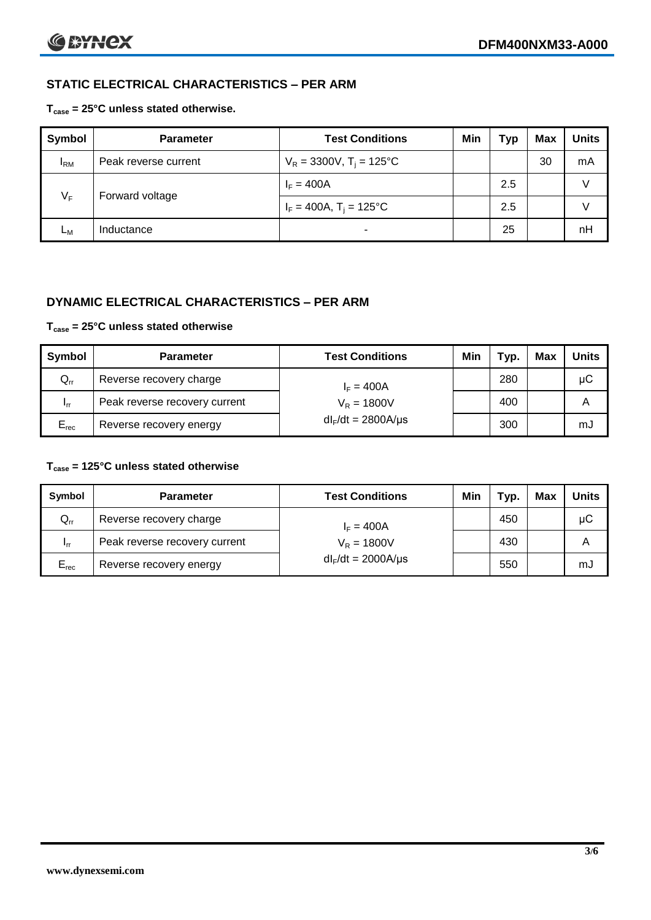# **STATIC ELECTRICAL CHARACTERISTICS – PER ARM**

#### **Tcase = 25°C unless stated otherwise.**

| <b>Symbol</b> | <b>Parameter</b>     | <b>Test Conditions</b>                 | Min | Тур | <b>Max</b> | <b>Units</b> |
|---------------|----------------------|----------------------------------------|-----|-----|------------|--------------|
| $I_{\rm RM}$  | Peak reverse current | $V_R = 3300V$ , T <sub>i</sub> = 125°C |     |     | 30         | mA           |
| $V_F$         | Forward voltage      | $I_F = 400A$                           |     | 2.5 |            | v            |
|               |                      | $I_F = 400A$ , $T_i = 125^{\circ}C$    |     | 2.5 |            |              |
| Lм            | Inductance           | -                                      |     | 25  |            | nH           |

### **DYNAMIC ELECTRICAL CHARACTERISTICS – PER ARM**

#### **Tcase = 25°C unless stated otherwise**

| Symbol          | <b>Parameter</b>              | <b>Test Conditions</b>  | Min | Typ. | Max | Units |
|-----------------|-------------------------------|-------------------------|-----|------|-----|-------|
| $Q_{rr}$        | Reverse recovery charge       | $I_F = 400A$            |     | 280  |     | μC    |
| 1 <sub>rr</sub> | Peak reverse recovery current | $V_R = 1800V$           |     | 400  |     | A     |
| $E_{rec}$       | Reverse recovery energy       | $dl_F/dt = 2800A/\mu s$ |     | 300  |     | mJ    |

#### **Tcase = 125°C unless stated otherwise**

| Symbol                     | <b>Parameter</b>                        | <b>Test Conditions</b>  | Min | тур. | Max | <b>Units</b> |
|----------------------------|-----------------------------------------|-------------------------|-----|------|-----|--------------|
| $\mathsf{Q}_{\mathsf{rr}}$ | Reverse recovery charge<br>$I_F = 400A$ |                         |     | 450  |     | μC           |
| 1 <sub>rr</sub>            | Peak reverse recovery current           | $V_R = 1800V$           |     | 430  |     | Α            |
| $E_{rec}$                  | Reverse recovery energy                 | $dl_F/dt = 2000A/\mu s$ |     | 550  |     | mJ           |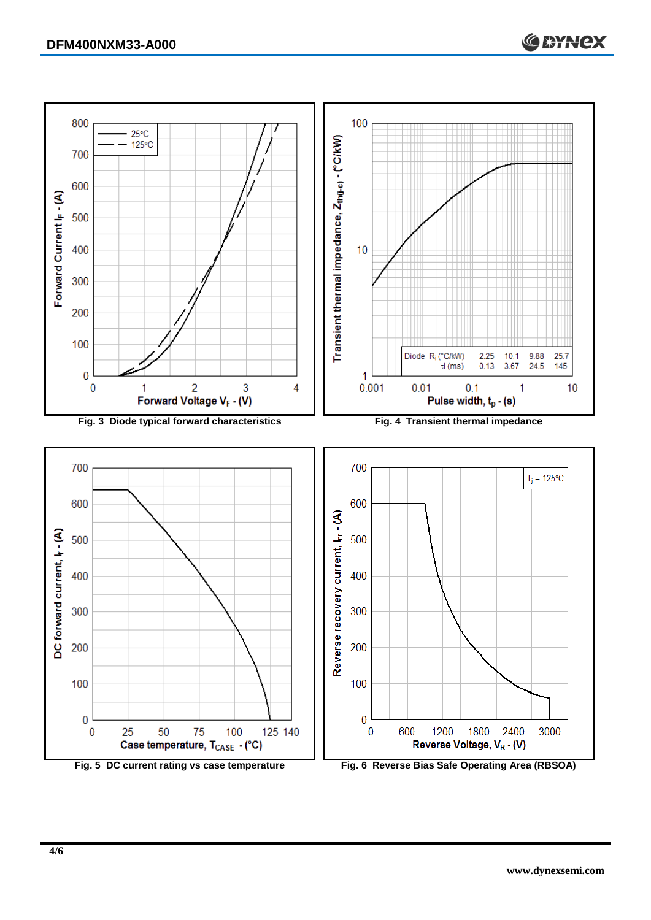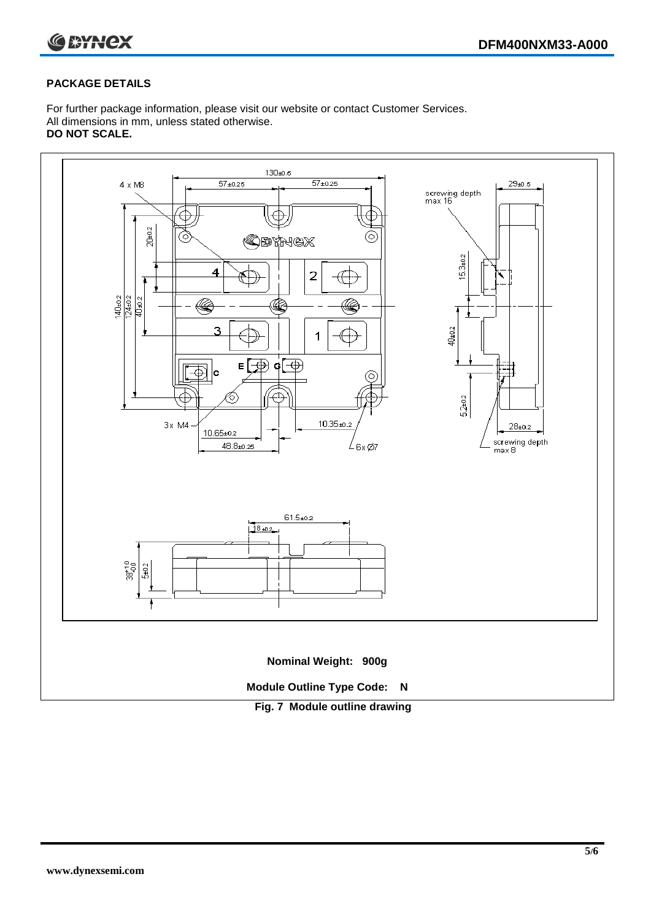

#### **PACKAGE DETAILS**

For further package information, please visit our website or contact Customer Services. All dimensions in mm, unless stated otherwise. **DO NOT SCALE.**